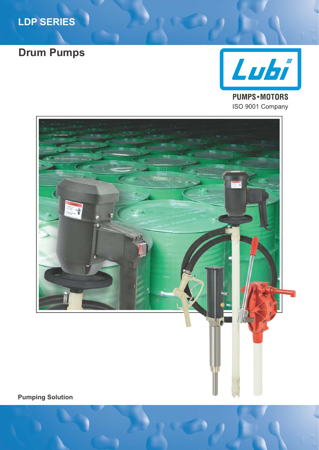# **LDP SERIES**

# **Drum Pumps**



**PUMPS**·MOTORS ISO 9001 Company



**Pumping Solution**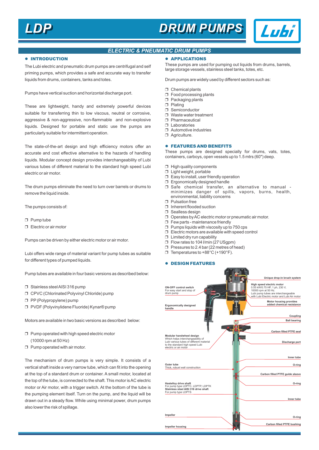

# *ELECTRIC & PNEUMATIC DRUM PUMPS*

#### **• INTRODUCTION**

The Lubi electric and pneumatic drum pumps are centrifugal and self priming pumps, which provides a safe and accurate way to transfer liquids from drums, containers, tanks and totes.

Pumps have vertical suction and horizontal discharge port.

These are lightweight, handy and extremely powerful devices suitable for transferring thin to low viscous, neutral or corrosive, aggressive & non-aggressive, non-flammable and non-explosive liquids. Designed for portable and static use the pumps are particularly suitable for intermittent operation.

The state-of-the-art design and high efficiency motors offer an accurate and cost effective alternative to the hazards of handling liquids. Modular concept design provides interchangeability of Lubi various tubes of different material to the standard high speed Lubi electric or air motor.

The drum pumps eliminate the need to turn over barrels or drums to remove the liquid inside.

The pumps consists of:

- $\square$  Pump tube
- **Electric or air motor**

Pumps can be driven by either electric motor or air motor.

Lubi offers wide range of material variant for pump tubes as suitable for different types of pumped liquids.

Pump tubes are available in four basic versions as described below:

- □ Stainless steel AISI 316 pump
- CPVC (Chlorinated Polyvinyl Chloride) pump
- **PP** (Polypropylene) pump
- □ PVDF (Polyvinylidene Fluoride) Kynar® pump

Motors are available in two basic versions as described below:

- $\Box$  Pump operated with high speed electric motor (10000 rpm at 50 Hz)
- $\Box$  Pump operated with air motor.

The mechanism of drum pumps is very simple. It consists of a vertical shaft inside a very narrow tube, which can fit into the opening at the top of a standard drum or container. A small motor, located at the top of the tube, is connected to the shaft. This motor is AC electric motor or Air motor, with a trigger switch. At the bottom of the tube is the pumping element itself. Turn on the pump, and the liquid will be drawn out in a steady flow. While using minimal power, drum pumps also lower the risk of spillage.

#### **• APPLICATIONS**

These pumps are used for pumping out liquids from drums, barrels, large storage vessels, stainless steel tanks, totes, etc.

Drum pumps are widely used by different sectors such as:

- **D** Chemical plants
- Food processing plants
- $\Box$  Packaging plants
- **Plating** □ Semiconductor
- Waste water treatment
- Pharmaceutical
- $\Box$  Laboratories
- Automotive industries
- **D** Agriculture.

### FEATURES AND BENEFITS

These pumps are designed specially for drums, vats, totes, containers, carboys, open vessels up to 1.5 mtrs (60") deep.

- $\Box$  High quality components
- $\Box$  Light weight, portable
- Easy to install, user friendly operation
- Ergonomically designed handle
- $\square$  Safe chemical transfer, an alternative to manual minimizes danger of spills, vapors, burns, health, environmental, liability concerns
- Pulsation free
- $\Box$  Inherent flooded suction
- $\Box$  Sealless design
- O Operates by AC electric motor or pneumatic air motor.
- $\Box$  Few parts maintenance friendly
- $\Box$  Pumps liquids with viscosity up to 750 cps
- $\Box$  Electric motors are available with speed control
- $\Box$  Limited dry run capability
- Flow rates to 104 l/min (27 USgpm)
- $\Box$  Pressures to 2.4 bar (22 metres of head)
- Temperatures to +88°C (+190°F).

#### **A DESIGN FEATURES**

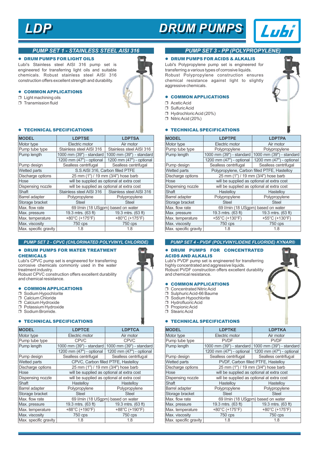

# *LDP DRUM PUMPS*



# *PUMP SET 1 - STAINLESS STEEL AISI 316*

#### **.** DRUM PUMPS FOR LIGHT OILS

Lubi's Stainless steel AISI 316 pump set is engineered for transferring light oils and suitable chemicals. Robust stainless steel AISI 316 construction offers excellent strength and durability.

#### **• COMMON APPLICATIONS**

- $\square$  Light machining oils
- $\square$  Transmission fluid



#### $\bullet$  **TECHNICAL SPECIFICATIONS**

| <b>MODEL</b>          | <b>LDPTSE</b>                                        | <b>LDPTSA</b>            |  |
|-----------------------|------------------------------------------------------|--------------------------|--|
| Motor type            | Electric motor<br>Air motor                          |                          |  |
| Pump tube type        | Stainless steel AISI 316<br>Stainless steel AISI 316 |                          |  |
| Pump length           | 1000 mm (39") - standard<br>1000 mm (39") - standard |                          |  |
|                       | 1200 mm (47") - optional                             | 1200 mm (47") - optional |  |
| Pump design           | Sealless centrifugal                                 | Sealless centrifugal     |  |
| Wetted parts          | S.S AISI 316, Carbon filled PTFE                     |                          |  |
| Discharge options     | 25 mm (1") / 19 mm (3/4") hose barb                  |                          |  |
| Hose                  | will be supplied as optional at extra cost           |                          |  |
| Dispensing nozzle     | will be supplied as optional at extra cost           |                          |  |
| Shaft                 | Stainless steel AISI 316                             | Stainless steel AISI 316 |  |
| Barrel adapter        | Polypropylene                                        | Polypropylene            |  |
| Storage bracket       | <b>Steel</b>                                         | <b>Steel</b>             |  |
| Max. flow rate        | 69 I/min (18 USgpm) based on water                   |                          |  |
| Max. pressure         | 19.3 mtrs. (63 ft)                                   | 19.3 mtrs. (63 ft)       |  |
| Max. temperature      | +80°C (+175°F)                                       | +80°C (+175°F)           |  |
| Max. viscosity        | 750 cps                                              | 750 cps                  |  |
| Max. specific gravity | 1.8                                                  | 1.8                      |  |

### *PUMP SET 2 - CPVC (CHLORINATED POLYVINYL CHLORIDE)*

#### **• DRUM PUMPS FOR WATER TREATMENT CHEMICALS**

Lubi's CPVC pump set is engineered for transferring corrosive chemicals commonly used in the water treatment industry.

Robust CPVC construction offers excellent durability and chemical resistance.

#### **• COMMON APPLICATIONS**

- **Sodium Hypochlorite**
- Calcium Chloride
- Calcium Hydroxide
- Potassium Hydroxide
- Sodium Bromide.

### **• TECHNICAL SPECIFICATIONS**

| <b>MODEL</b>          | <b>LDPTCE</b><br><b>LDPTCA</b>             |                          |  |
|-----------------------|--------------------------------------------|--------------------------|--|
| Motor type            | Electric motor<br>Air motor                |                          |  |
| Pump tube type        | <b>CPVC</b>                                | <b>CPVC</b>              |  |
| Pump length           | 1000 mm (39") - standard                   | 1000 mm (39") - standard |  |
|                       | 1200 mm (47") - optional                   | 1200 mm (47") - optional |  |
| Pump design           | Sealless centrifugal                       | Sealless centrifugal     |  |
| Wetted parts          | CPVC, Carbon filled PTFE, Hastelloy        |                          |  |
| Discharge options     | 25 mm (1") / 19 mm (3/4") hose barb        |                          |  |
| Hose                  | will be supplied as optional at extra cost |                          |  |
| Dispensing nozzle     | will be supplied as optional at extra cost |                          |  |
| Shaft                 | Hastellov                                  | Hastellov                |  |
| Barrel adapter        | Polypropylene                              | Polypropylene            |  |
| Storage bracket       | <b>Steel</b>                               | <b>Steel</b>             |  |
| Max. flow rate        | 69 I/min (18 USgpm) based on water         |                          |  |
| Max. pressure         | 19.3 mtrs. (63 ft)                         | 19.3 mtrs. (63 ft)       |  |
| Max. temperature      | +88°C (+190°F)                             | +88°C (+190°F)           |  |
| Max. viscosity        | $750$ cps                                  | $750$ cps                |  |
| Max. specific gravity | 1.8                                        | 1.8                      |  |

# *PUMP SET 3 - PP (POLYPROPYLENE)*

#### DRUM PUMPS FOR ACIDS & ALKALIS

Lubi's Polypropylene pump set is engineered for transferring a various types of corrosive liquids. Robust Polypropylene construction ensures chemical resistance against light to slightly aggressive chemicals.

#### **• COMMON APPLICATIONS**

- Acetic Acid
- Sulfuric Acid
- Hydrochloric Acid (20%)
- □ Nitric Acid (20%)

#### $\bullet$  **TECHNICAL SPECIFICATIONS**

| <b>MODEL</b>          | <b>LDPTPE</b>                                | <b>LDPTPA</b>            |  |
|-----------------------|----------------------------------------------|--------------------------|--|
| Motor type            | Electric motor<br>Air motor                  |                          |  |
| Pump tube type        | Polypropylene<br>Polypropylene               |                          |  |
| Pump length           | 1000 mm (39") - standard                     | 1000 mm (39") - standard |  |
|                       | 1200 mm (47") - optional                     | 1200 mm (47") - optional |  |
| Pump design           | Sealless centrifugal                         | Sealless centrifugal     |  |
| Wetted parts          | Polypropylene, Carbon filled PTFE, Hastelloy |                          |  |
| Discharge options     | 25 mm (1") / 19 mm (3/4") hose barb          |                          |  |
| Hose                  | will be supplied as optional at extra cost   |                          |  |
| Dispensing nozzle     | will be supplied as optional at extra cost   |                          |  |
| Shaft                 | Hastelloy                                    | Hastelloy                |  |
| Barrel adapter        | Polypropylene                                | Polypropylene            |  |
| Storage bracket       | <b>Steel</b>                                 | <b>Steel</b>             |  |
| Max. flow rate        | 69 I/min (18 USgpm) based on water           |                          |  |
| Max. pressure         | 19.3 mtrs. (63 ft)                           | 19.3 mtrs. (63 ft)       |  |
| Max. temperature      | +55°C (+130°F)                               | +55°C (+130°F)           |  |
| Max. viscosity        | $750$ cps                                    | 750 cps                  |  |
| Max. specific gravity | 1.8                                          | 1.8                      |  |

### *PUMP SET 4 - PVDF (POLYVINYLIDENE FLUORIDE) KYNAR®*

#### **• DRUM PUMPS FOR CONCENTRATED** ACIDS AND ALKALIS

Lubi's PVDF pump set is engineered for transferring highly concentrated and aggressive liquids. Robust PVDF construction offers excellent durability and chemical resistance.

## **• COMMON APPLICATIONS**

- Concentrated Nitric Acid
- □ Sulphuric Acid-66 Baume<br>□ Sodium Hypochlorite
- Sodium Hypochlorite □ Hydrofluoric Acid
- Propionic Acid
- Stearic Acid

#### **• TECHNICAL SPECIFICATIONS**

| <b>MODEL</b>          | <b>LDPTKE</b><br><b>LDPTKA</b>             |                          |  |
|-----------------------|--------------------------------------------|--------------------------|--|
| Motor type            | Electric motor<br>Air motor                |                          |  |
| Pump tube type        | <b>PVDF</b><br><b>PVDF</b>                 |                          |  |
| Pump length           | 1000 mm (39") - standard                   | 1000 mm (39") - standard |  |
|                       | 1200 mm (47") - optional                   | 1200 mm (47") - optional |  |
| Pump design           | Sealless centrifugal                       | Sealless centrifugal     |  |
| Wetted parts          | PVDF, Carbon filled PTFE, Hastelloy        |                          |  |
| Discharge options     | 25 mm (1") / 19 mm (3/4") hose barb        |                          |  |
| Hose                  | will be supplied as optional at extra cost |                          |  |
| Dispensing nozzle     | will be supplied as optional at extra cost |                          |  |
| Shaft                 | Hastellov                                  | Hastellov                |  |
| Barrel adapter        | Polypropylene                              | Polypropylene            |  |
| Storage bracket       | <b>Steel</b>                               | <b>Steel</b>             |  |
| Max. flow rate        | 69 I/min (18 USgpm) based on water         |                          |  |
| Max. pressure         | 19.3 mtrs. (63 ft)                         | 19.3 mtrs. (63 ft)       |  |
| Max. temperature      | +80°C (+175°F)                             | +80°C (+175°F)           |  |
| Max. viscosity        | $750$ cps                                  | $750$ cps                |  |
| Max. specific gravity | 1.8                                        | 1.8                      |  |